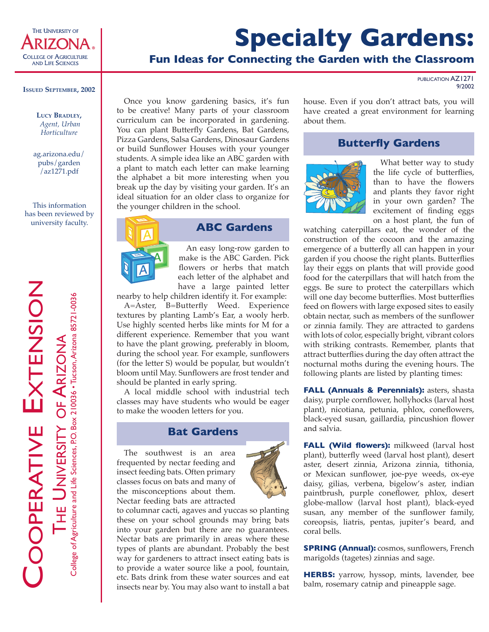

# **Specialty Gardens:**

## **Fun Ideas for Connecting the Garden with the Classroom**

PUBLICATION AZ1271 9/2002

#### **ISSUED SEPTEMBER, 2002**

**LUCY BRADLEY,**  *Agent, Urban Horticulture*

ag.arizona.edu/ pubs/garden /az1271.pdf

This information has been reviewed by university faculty.

OOPERATIVE EXTENSION EXTENSION THE UNIVERSITY OF ARIZONA OF ARIZONA UNIVERSITY T<sub>HE</sub>

College of Agriculture and Life Sciences, P.O. Box 210036 • Tucson, Arizona 85721-0036

Once you know gardening basics, it's fun to be creative! Many parts of your classroom curriculum can be incorporated in gardening. You can plant Butterfly Gardens, Bat Gardens, Pizza Gardens, Salsa Gardens, Dinosaur Gardens or build Sunflower Houses with your younger students. A simple idea like an ABC garden with a plant to match each letter can make learning the alphabet a bit more interesting when you break up the day by visiting your garden. It's an ideal situation for an older class to organize for the younger children in the school.



#### **ABC Gardens**

An easy long-row garden to make is the ABC Garden. Pick flowers or herbs that match each letter of the alphabet and have a large painted letter

nearby to help children identify it. For example:

A=Aster, B=Butterfly Weed. Experience textures by planting Lamb's Ear, a wooly herb. Use highly scented herbs like mints for M for a different experience. Remember that you want to have the plant growing, preferably in bloom, during the school year. For example, sunflowers (for the letter S) would be popular, but wouldn't bloom until May. Sunflowers are frost tender and should be planted in early spring. etc. Butter is an area<br>
and the mission of the poster and the set of the set of the set of the set of the minimal Lamb's Ear, a wooly herh.<br>
Use highly scented herbs like minis for M for a different experience. Remember th

A local middle school with industrial tech classes may have students who would be eager to make the wooden letters for you.

#### **Bat Gardens**

The southwest is an area frequented by nectar feeding and insect feeding bats. Often primary classes focus on bats and many of the misconceptions about them. Nectar feeding bats are attracted

to columnar cacti, agaves and yuccas so planting these on your school grounds may bring bats into your garden but there are no guarantees. Nectar bats are primarily in areas where these types of plants are abundant. Probably the best way for gardeners to attract insect eating bats is to provide a water source like a pool, fountain, insects near by. You may also want to install a bat house. Even if you don't attract bats, you will have created a great environment for learning about them.

#### **Butterfly Gardens**



What better way to study the life cycle of butterflies, than to have the flowers and plants they favor right in your own garden? The excitement of finding eggs on a host plant, the fun of

watching caterpillars eat, the wonder of the construction of the cocoon and the amazing emergence of a butterfly all can happen in your garden if you choose the right plants. Butterflies lay their eggs on plants that will provide good food for the caterpillars that will hatch from the eggs. Be sure to protect the caterpillars which will one day become butterflies. Most butterflies feed on flowers with large exposed sites to easily obtain nectar, such as members of the sunflower or zinnia family. They are attracted to gardens with lots of color, especially bright, vibrant colors with striking contrasts. Remember, plants that attract butterflies during the day often attract the nocturnal moths during the evening hours. The following plants are listed by planting times:

**FALL (Annuals & Perennials):** asters, shasta daisy, purple cornflower, hollyhocks (larval host plant), nicotiana, petunia, phlox, coneflowers, black-eyed susan, gaillardia, pincushion flower and salvia.

**FALL (Wild flowers):** milkweed (larval host plant), butterfly weed (larval host plant), desert aster, desert zinnia, Arizona zinnia, tithonia, or Mexican sunflower, joe-pye weeds, ox-eye daisy, gilias, verbena, bigelow's aster, indian paintbrush, purple coneflower, phlox, desert globe-mallow (larval host plant), black-eyed susan, any member of the sunflower family, coreopsis, liatris, pentas, jupiter's beard, and coral bells.

**SPRING (Annual):** cosmos, sunflowers, French marigolds (tagetes) zinnias and sage.

**HERBS:** yarrow, hyssop, mints, lavender, bee balm, rosemary catnip and pineapple sage.